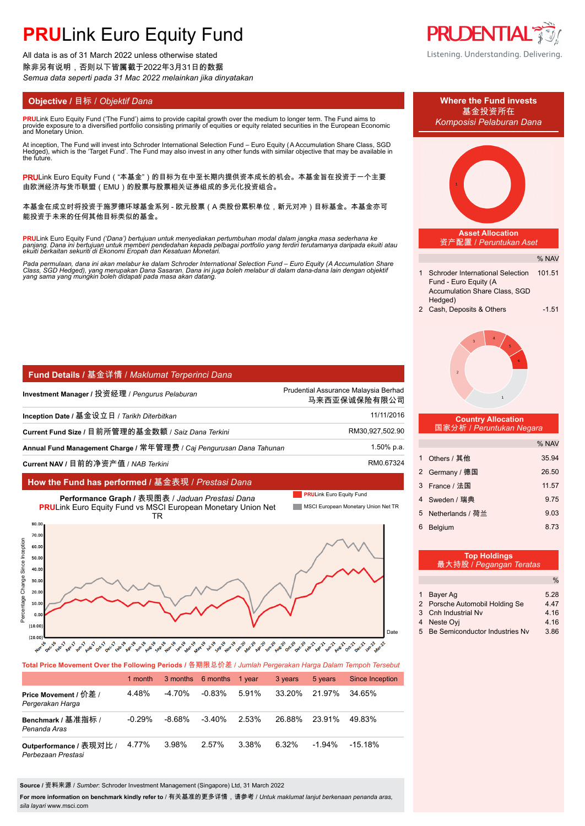# **PRULink Euro Equity Fund**

All data is as of 31 March 2022 unless otherwise stated 除非另有说明,否则以下皆属截于2022年3月31日的数据 *Semua data seperti pada 31 Mac 2022 melainkan jika dinyatakan*

**PRU**Link Euro Equity Fund ('The Fund') aims to provide capital growth over the medium to longer term. The Fund aims to provide exposure to´a diversified portfolio consisting primarily of equities or equity related securities in the European Economic<br>and Monetary Union.

At inception, The Fund will invest into Schroder International Selection Fund – Euro Equity (A Accumulation Share Class, SGD<br>Hedged), which is the 'Target Fund'. The Fund may also invest in any other funds with similar obj the future.

PRULink Euro Equity Fund ( "本基金" )的目标为在中至长期内提供资本成长的机会。本基金旨在投资于一个主要 由欧洲经济与货币联盟(EMU)的股票与股票相关证券组成的多元化投资组合。

本基金在成立时将投资于施罗德环球基金系列 - 欧元股票(A 类股份累积单位,新元对冲)目标基金。本基金亦可 能投资于未来的任何其他目标类似的基金。

**PRU**Link Euro Equity Fund ('Dana') bertujuan untuk menyediakan pertumbuhan modal dalam jangka masa sederhana ke<br>panjang. Dana ini bertujuan untuk memberi pendedahan kepada pelbagai portfolio yang terdiri terutamanya darip

Pada permulaan, dana ini akan melabur ke dalam Schroder International Selection Fund – Euro Equity (A Accumulation Share<br>Class, SGD Hedged), yang merupakan Dana Sasaran. Dana ini juga boleh melabur di dalam dana-dana lain

| Fund Details / 基金详情 / Maklumat Terperinci Dana |
|------------------------------------------------|
|------------------------------------------------|

| Investment Manager / 投资经理 / Pengurus Pelaburan                      | Prudential Assurance Malaysia Berhad<br>马来西亚保诚保险有限公司 |
|---------------------------------------------------------------------|------------------------------------------------------|
| Inception Date / 基金设立日 / Tarikh Diterbitkan                         | 11/11/2016                                           |
| Current Fund Size / 目前所管理的基金数额 / Saiz Dana Terkini                  | RM30,927,502.90                                      |
| Annual Fund Management Charge / 常年管理费 / Caj Pengurusan Dana Tahunan | 1.50% p.a.                                           |
| Current NAV / 目前的净资产值 / NAB Terkini                                 | RM0.67324                                            |

## **How the Fund has performed /** 基金表现 / *Prestasi Dana*



**Total Price Movement Over the Following Periods /** 各期限总价差 / *Jumlah Pergerakan Harga Dalam Tempoh Tersebut*

|                                               | 1 month  |        | 3 months 6 months | 1 vear | 3 years | 5 years   | Since Inception |
|-----------------------------------------------|----------|--------|-------------------|--------|---------|-----------|-----------------|
| Price Movement / 价差 /<br>Pergerakan Harga     | 4 48%    | -4.70% | $-0.83\%$         | 5.91%  | 33.20%  | 21.97%    | 34 65%          |
| Benchmark / 基准指标 /<br>Penanda Aras            | $-0.29%$ | -8.68% | $-3.40%$          | 2.53%  | 26.88%  | 23.91%    | 49.83%          |
| Outperformance / 表现对比 /<br>Perbezaan Prestasi | 4.77%    | 3.98%  | 2.57%             | 3.38%  | 6.32%   | $-1.94\%$ | -15.18%         |

**Source /** 资料来源 / *Sumber*: Schroder Investment Management (Singapore) Ltd, 31 March 2022

**For more information on benchmark kindly refer to** / 有关基准的更多详情,请参考 / *Untuk maklumat lanjut berkenaan penanda aras, sila layari* www.msci.com









#### **Country Allocation** 国家分析 / *Peruntukan Negara*

|   |                  | % NAV |
|---|------------------|-------|
|   | Others / 其他      | 35.94 |
|   | 2 Germany / 德国   | 26.50 |
|   | 3 France / 法国    | 11.57 |
|   | 4 Sweden / 瑞典    | 9.75  |
| 5 | Netherlands / 荷兰 | 9.03  |
| 6 | <b>Belaium</b>   | 8.73  |

|   | <b>Top Holdings</b><br>最大持股 / Pegangan Teratas |       |
|---|------------------------------------------------|-------|
|   |                                                | $\%$  |
|   | Bayer Ag                                       | 5.28  |
|   | 2 Porsche Automobil Holding Se                 | 4 4 7 |
|   | 3 Cnh Industrial Nv                            | 4.16  |
| 4 | Neste Ovi                                      | 4.16  |
|   | 5 Be Semiconductor Industries Nv               | 3.86  |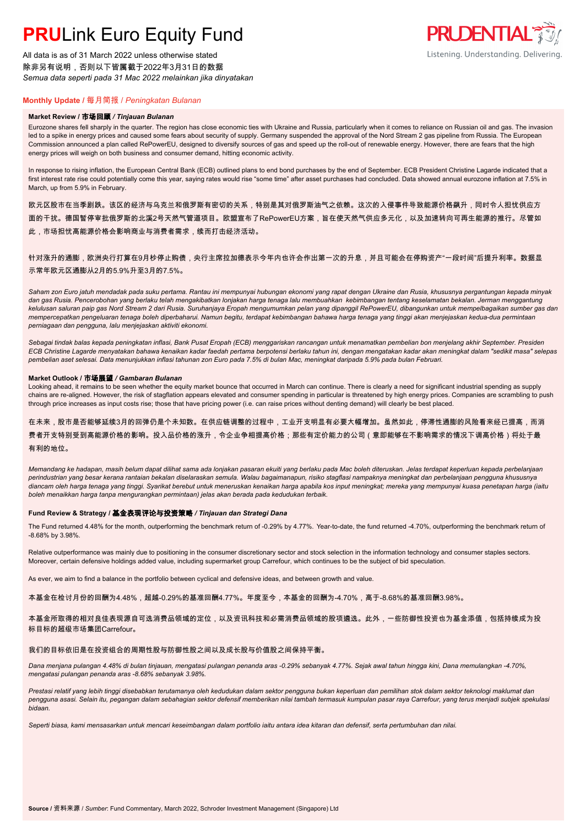# **PRU**Link Euro Equity Fund

All data is as of 31 March 2022 unless otherwise stated 除非另有说明,否则以下皆属截于2022年3月31日的数据 *Semua data seperti pada 31 Mac 2022 melainkan jika dinyatakan*



# **Monthly Update /** 每月简报 / *Peningkatan Bulanan*

### **Market Review /** 市场回顾 */ Tinjauan Bulanan*

Eurozone shares fell sharply in the quarter. The region has close economic ties with Ukraine and Russia, particularly when it comes to reliance on Russian oil and gas. The invasion led to a spike in energy prices and caused some fears about security of supply. Germany suspended the approval of the Nord Stream 2 gas pipeline from Russia. The European Commission announced a plan called RePowerEU, designed to diversify sources of gas and speed up the roll-out of renewable energy. However, there are fears that the high energy prices will weigh on both business and consumer demand, hitting economic activity.

In response to rising inflation, the European Central Bank (ECB) outlined plans to end bond purchases by the end of September. ECB President Christine Lagarde indicated that a first interest rate rise could potentially come this year, saying rates would rise "some time" after asset purchases had concluded. Data showed annual eurozone inflation at 7.5% in March, up from 5.9% in February.

欧元区股市在当季剧跌。该区的经济与乌克兰和俄罗斯有密切的关系,特别是其对俄罗斯油气之依赖。这次的入侵事件导致能源价格飙升,同时令人担忧供应方 面的干扰。德国暂停审批俄罗斯的北溪2号天然气管道项目。欧盟宣布了RePowerEU方案,旨在使天然气供应多元化,以及加速转向可再生能源的推行。尽管如 此,市场担忧高能源价格会影响商业与消费者需求,续而打击经济活动。

# 针对涨升的通膨,欧洲央行打算在9月杪停止购债,央行主席拉加德表示今年内也许会作出第一次的升息,并且可能会在停购资产"一段时间"后提升利率。数据显 示常年欧元区通膨从2月的5.9%升至3月的7.5%。

*Saham zon Euro jatuh mendadak pada suku pertama. Rantau ini mempunyai hubungan ekonomi yang rapat dengan Ukraine dan Rusia, khususnya pergantungan kepada minyak dan gas Rusia. Pencerobohan yang berlaku telah mengakibatkan lonjakan harga tenaga lalu membuahkan kebimbangan tentang keselamatan bekalan. Jerman menggantung kelulusan saluran paip gas Nord Stream 2 dari Rusia. Suruhanjaya Eropah mengumumkan pelan yang dipanggil RePowerEU, dibangunkan untuk mempelbagaikan sumber gas dan mempercepatkan pengeluaran tenaga boleh diperbaharui. Namun begitu, terdapat kebimbangan bahawa harga tenaga yang tinggi akan menjejaskan kedua-dua permintaan perniagaan dan pengguna, lalu menjejaskan aktiviti ekonomi.*

*Sebagai tindak balas kepada peningkatan inflasi, Bank Pusat Eropah (ECB) menggariskan rancangan untuk menamatkan pembelian bon menjelang akhir September. Presiden ECB Christine Lagarde menyatakan bahawa kenaikan kadar faedah pertama berpotensi berlaku tahun ini, dengan mengatakan kadar akan meningkat dalam "sedikit masa" selepas pembelian aset selesai. Data menunjukkan inflasi tahunan zon Euro pada 7.5% di bulan Mac, meningkat daripada 5.9% pada bulan Februari.*

### **Market Outlook /** 市场展望 */ Gambaran Bulanan*

Looking ahead, it remains to be seen whether the equity market bounce that occurred in March can continue. There is clearly a need for significant industrial spending as supply chains are re-aligned. However, the risk of stagflation appears elevated and consumer spending in particular is threatened by high energy prices. Companies are scrambling to push through price increases as input costs rise; those that have pricing power (i.e. can raise prices without denting demand) will clearly be best placed.

在未来,股市是否能够延续3月的回弹仍是个未知数。在供应链调整的过程中,工业开支明显有必要大幅增加。虽然如此,停滞性通膨的风险看来经已提高,而消 费者开支特别受到高能源价格的影响。投入品价格的涨升,令企业争相提高价格;那些有定价能力的公司(意即能够在不影响需求的情况下调高价格)将处于最 有利的地位。

*Memandang ke hadapan, masih belum dapat dilihat sama ada lonjakan pasaran ekuiti yang berlaku pada Mac boleh diteruskan. Jelas terdapat keperluan kepada perbelanjaan perindustrian yang besar kerana rantaian bekalan diselaraskan semula. Walau bagaimanapun, risiko stagflasi nampaknya meningkat dan perbelanjaan pengguna khususnya diancam oleh harga tenaga yang tinggi. Syarikat berebut untuk meneruskan kenaikan harga apabila kos input meningkat; mereka yang mempunyai kuasa penetapan harga (iaitu boleh menaikkan harga tanpa mengurangkan permintaan) jelas akan berada pada kedudukan terbaik.*

### **Fund Review & Strategy /** 基金表现评论与投资策略 */ Tinjauan dan Strategi Dana*

The Fund returned 4.48% for the month, outperforming the benchmark return of -0.29% by 4.77%. Year-to-date, the fund returned -4.70%, outperforming the benchmark return of -8.68% by 3.98%.

Relative outperformance was mainly due to positioning in the consumer discretionary sector and stock selection in the information technology and consumer staples sectors. Moreover, certain defensive holdings added value, including supermarket group Carrefour, which continues to be the subject of bid speculation.

As ever, we aim to find a balance in the portfolio between cyclical and defensive ideas, and between growth and value.

本基金在检讨月份的回酬为4.48%,超越-0.29%的基准回酬4.77%。年度至今,本基金的回酬为-4.70%,高于-8.68%的基准回酬3.98%。

本基金所取得的相对良佳表现源自可选消费品领域的定位,以及资讯科技和必需消费品领域的股项遴选。此外,一些防御性投资也为基金添值,包括持续成为投 标目标的超级市场集团Carrefour。

#### 我们的目标依旧是在投资组合的周期性股与防御性股之间以及成长股与价值股之间保持平衡。

*Dana menjana pulangan 4.48% di bulan tinjauan, mengatasi pulangan penanda aras -0.29% sebanyak 4.77%. Sejak awal tahun hingga kini, Dana memulangkan -4.70%, mengatasi pulangan penanda aras -8.68% sebanyak 3.98%.*

*Prestasi relatif yang lebih tinggi disebabkan terutamanya oleh kedudukan dalam sektor pengguna bukan keperluan dan pemilihan stok dalam sektor teknologi maklumat dan pengguna asasi. Selain itu, pegangan dalam sebahagian sektor defensif memberikan nilai tambah termasuk kumpulan pasar raya Carrefour, yang terus menjadi subjek spekulasi bidaan.*

*Seperti biasa, kami mensasarkan untuk mencari keseimbangan dalam portfolio iaitu antara idea kitaran dan defensif, serta pertumbuhan dan nilai.*